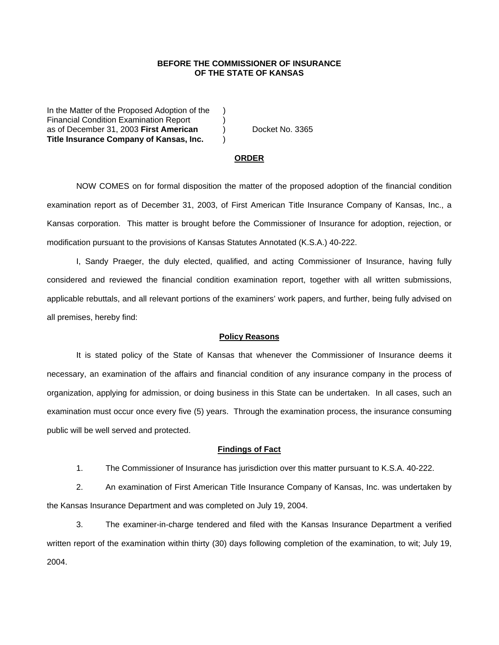## **BEFORE THE COMMISSIONER OF INSURANCE OF THE STATE OF KANSAS**

In the Matter of the Proposed Adoption of the Financial Condition Examination Report (a) as of December 31, 2003 **First American** ) Docket No. 3365 **Title Insurance Company of Kansas, Inc.** )

#### **ORDER**

 NOW COMES on for formal disposition the matter of the proposed adoption of the financial condition examination report as of December 31, 2003, of First American Title Insurance Company of Kansas, Inc., a Kansas corporation. This matter is brought before the Commissioner of Insurance for adoption, rejection, or modification pursuant to the provisions of Kansas Statutes Annotated (K.S.A.) 40-222.

 I, Sandy Praeger, the duly elected, qualified, and acting Commissioner of Insurance, having fully considered and reviewed the financial condition examination report, together with all written submissions, applicable rebuttals, and all relevant portions of the examiners' work papers, and further, being fully advised on all premises, hereby find:

### **Policy Reasons**

 It is stated policy of the State of Kansas that whenever the Commissioner of Insurance deems it necessary, an examination of the affairs and financial condition of any insurance company in the process of organization, applying for admission, or doing business in this State can be undertaken. In all cases, such an examination must occur once every five (5) years. Through the examination process, the insurance consuming public will be well served and protected.

### **Findings of Fact**

1. The Commissioner of Insurance has jurisdiction over this matter pursuant to K.S.A. 40-222.

 2. An examination of First American Title Insurance Company of Kansas, Inc. was undertaken by the Kansas Insurance Department and was completed on July 19, 2004.

 3. The examiner-in-charge tendered and filed with the Kansas Insurance Department a verified written report of the examination within thirty (30) days following completion of the examination, to wit; July 19, 2004.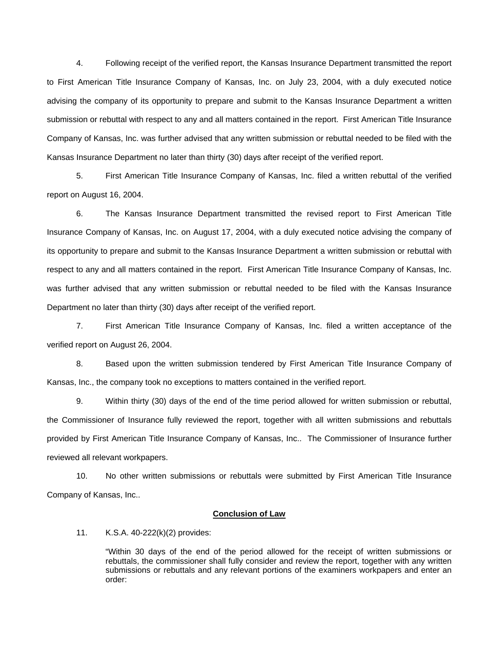4. Following receipt of the verified report, the Kansas Insurance Department transmitted the report to First American Title Insurance Company of Kansas, Inc. on July 23, 2004, with a duly executed notice advising the company of its opportunity to prepare and submit to the Kansas Insurance Department a written submission or rebuttal with respect to any and all matters contained in the report. First American Title Insurance Company of Kansas, Inc. was further advised that any written submission or rebuttal needed to be filed with the Kansas Insurance Department no later than thirty (30) days after receipt of the verified report.

 5. First American Title Insurance Company of Kansas, Inc. filed a written rebuttal of the verified report on August 16, 2004.

 6. The Kansas Insurance Department transmitted the revised report to First American Title Insurance Company of Kansas, Inc. on August 17, 2004, with a duly executed notice advising the company of its opportunity to prepare and submit to the Kansas Insurance Department a written submission or rebuttal with respect to any and all matters contained in the report. First American Title Insurance Company of Kansas, Inc. was further advised that any written submission or rebuttal needed to be filed with the Kansas Insurance Department no later than thirty (30) days after receipt of the verified report.

 7. First American Title Insurance Company of Kansas, Inc. filed a written acceptance of the verified report on August 26, 2004.

 8. Based upon the written submission tendered by First American Title Insurance Company of Kansas, Inc., the company took no exceptions to matters contained in the verified report.

 9. Within thirty (30) days of the end of the time period allowed for written submission or rebuttal, the Commissioner of Insurance fully reviewed the report, together with all written submissions and rebuttals provided by First American Title Insurance Company of Kansas, Inc.. The Commissioner of Insurance further reviewed all relevant workpapers.

 10. No other written submissions or rebuttals were submitted by First American Title Insurance Company of Kansas, Inc..

#### **Conclusion of Law**

11. K.S.A. 40-222(k)(2) provides:

"Within 30 days of the end of the period allowed for the receipt of written submissions or rebuttals, the commissioner shall fully consider and review the report, together with any written submissions or rebuttals and any relevant portions of the examiners workpapers and enter an order: